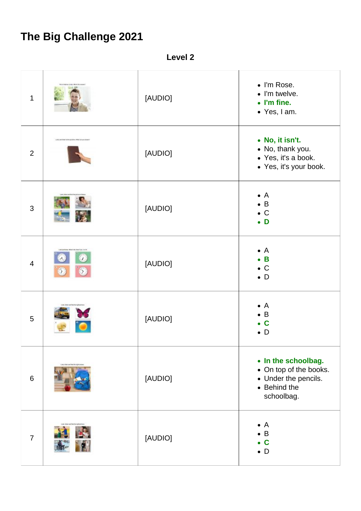## **The Big Challenge 2021**

**Level 2**

| $\mathbf 1$    |                                                      | [AUDIO] | • I'm Rose.<br>$\bullet$ I'm twelve.<br>$\bullet$ I'm fine.<br>• Yes, I am.                         |
|----------------|------------------------------------------------------|---------|-----------------------------------------------------------------------------------------------------|
| $\overline{2}$ | pain, and firther to this good from 14th of our con- | [AUDIO] | • No, it isn't.<br>• No, thank you.<br>• Yes, it's a book.<br>• Yes, it's your book.                |
| 3              |                                                      | [AUDIO] | $\mathsf{A}$<br>$\bullet$<br>$\bullet$ B<br>$\mathsf{C}$<br>$\bullet$ D                             |
| $\overline{4}$ | $\lambda$<br>$\sum_{i=1}^{n}$                        | [AUDIO] | $\mathsf{A}$<br>$\bullet$ B<br>$\mathsf{C}$<br>$\bullet$ D                                          |
| $5\phantom{.}$ | a, kissa ood fod manigh                              | [AUDIO] | $\mathsf{A}$<br>$\bullet$<br>B<br>$\mathbf c$<br>D                                                  |
| $6\phantom{1}$ | un, titles and find the right                        | [AUDIO] | • In the schoolbag.<br>• On top of the books.<br>• Under the pencils.<br>• Behind the<br>schoolbag. |
| $\overline{7}$ |                                                      | [AUDIO] | A<br>$\mathsf B$<br>$\mathbf C$<br>$\bullet$ D                                                      |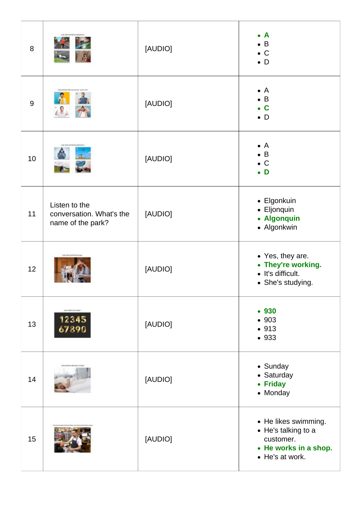| 8  |                                                                | [AUDIO] | $\mathbf{A}$<br>B<br>$\bullet$ C<br>$\bullet$ D                                                      |
|----|----------------------------------------------------------------|---------|------------------------------------------------------------------------------------------------------|
| 9  | r€                                                             | [AUDIO] | $\mathsf{A}$<br>$\mathsf B$<br>$\mathbf C$<br>D<br>٠                                                 |
| 10 |                                                                | [AUDIO] | $\mathsf{A}$<br>$\overline{B}$<br>$\mathbf C$<br>D                                                   |
| 11 | Listen to the<br>conversation. What's the<br>name of the park? | [AUDIO] | • Elgonkuin<br>• Eljonquin<br>• Algonquin<br>• Algonkwin                                             |
| 12 |                                                                | [AUDIO] | • Yes, they are.<br>• They're working.<br>• It's difficult.<br>• She's studying.                     |
| 13 | <b>USEL STATISHING</b><br>12345<br>67890                       | [AUDIO] | • 930<br>• 903<br>• 913<br>• 933                                                                     |
| 14 |                                                                | [AUDIO] | • Sunday<br>• Saturday<br><b>Friday</b><br>$\bullet$<br>• Monday                                     |
| 15 |                                                                | [AUDIO] | • He likes swimming.<br>• He's talking to a<br>customer.<br>• He works in a shop.<br>• He's at work. |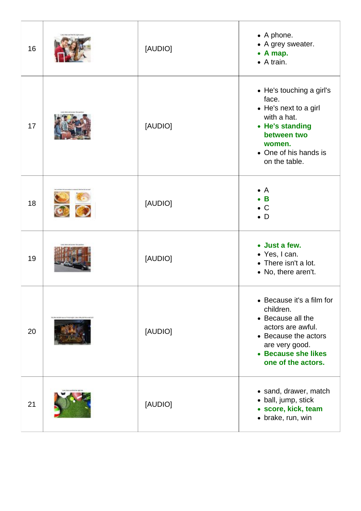| 16 |                                                              | [AUDIO] | • A phone.<br>• A grey sweater.<br>$\bullet$ A map.<br>$\bullet$ A train.                                                                                               |
|----|--------------------------------------------------------------|---------|-------------------------------------------------------------------------------------------------------------------------------------------------------------------------|
| 17 |                                                              | [AUDIO] | • He's touching a girl's<br>face.<br>• He's next to a girl<br>with a hat.<br>• He's standing<br>between two<br>women.<br>• One of his hands is<br>on the table.         |
| 18 |                                                              | [AUDIO] | $\mathsf{A}$<br>B<br>$\mathsf{C}$<br>D                                                                                                                                  |
| 19 |                                                              | [AUDIO] | • Just a few.<br>• Yes, I can.<br>• There isn't a lot.<br>• No, there aren't.                                                                                           |
| 20 | The first Autobio was not TV factory but A data show and in- | [AUDIO] | • Because it's a film for<br>children.<br>• Because all the<br>actors are awful.<br>• Because the actors<br>are very good.<br>• Because she likes<br>one of the actors. |
| 21 |                                                              | [AUDIO] | • sand, drawer, match<br>• ball, jump, stick<br>· score, kick, team<br>· brake, run, win                                                                                |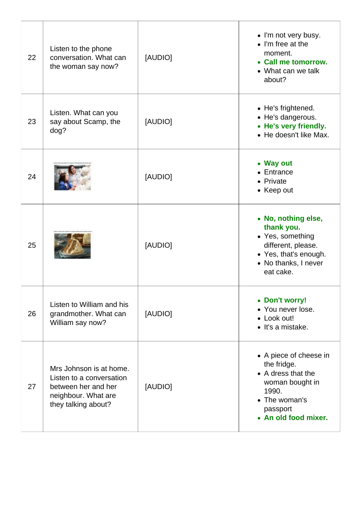| 22 | Listen to the phone<br>conversation. What can<br>the woman say now?                                                      | [AUDIO] | • I'm not very busy.<br>$\bullet$ I'm free at the<br>moment.<br>• Call me tomorrow.<br>• What can we talk<br>about?                          |
|----|--------------------------------------------------------------------------------------------------------------------------|---------|----------------------------------------------------------------------------------------------------------------------------------------------|
| 23 | Listen. What can you<br>say about Scamp, the<br>dog?                                                                     | [AUDIO] | • He's frightened.<br>• He's dangerous.<br>• He's very friendly.<br>• He doesn't like Max.                                                   |
| 24 |                                                                                                                          | [AUDIO] | • Way out<br>$\bullet$ Entrance<br>• Private<br>• Keep out                                                                                   |
| 25 |                                                                                                                          | [AUDIO] | • No, nothing else,<br>thank you.<br>• Yes, something<br>different, please.<br>• Yes, that's enough.<br>• No thanks, I never<br>eat cake.    |
| 26 | Listen to William and his<br>grandmother. What can<br>William say now?                                                   | [AUDIO] | • Don't worry!<br>You never lose.<br>• Look out!<br>• It's a mistake.                                                                        |
| 27 | Mrs Johnson is at home.<br>Listen to a conversation<br>between her and her<br>neighbour. What are<br>they talking about? | [AUDIO] | • A piece of cheese in<br>the fridge.<br>• A dress that the<br>woman bought in<br>1990.<br>• The woman's<br>passport<br>• An old food mixer. |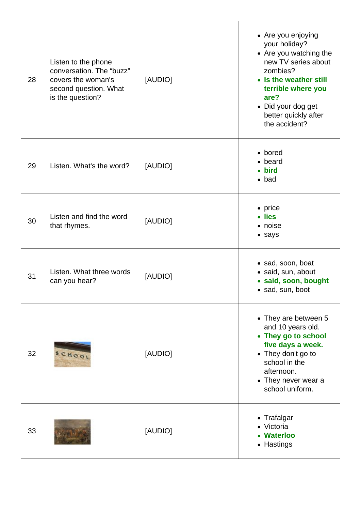| 28 | Listen to the phone<br>conversation. The "buzz"<br>covers the woman's<br>second question. What<br>is the question? | [AUDIO] | • Are you enjoying<br>your holiday?<br>• Are you watching the<br>new TV series about<br>zombies?<br>• Is the weather still<br>terrible where you<br>are?<br>• Did your dog get<br>better quickly after<br>the accident? |
|----|--------------------------------------------------------------------------------------------------------------------|---------|-------------------------------------------------------------------------------------------------------------------------------------------------------------------------------------------------------------------------|
| 29 | Listen. What's the word?                                                                                           | [AUDIO] | • bored<br>beard<br><b>bird</b><br>$\bullet$ bad                                                                                                                                                                        |
| 30 | Listen and find the word<br>that rhymes.                                                                           | [AUDIO] | $\bullet$ price<br>lies<br>• noise<br>• says                                                                                                                                                                            |
| 31 | Listen. What three words<br>can you hear?                                                                          | [AUDIO] | • sad, soon, boat<br>· said, sun, about<br>· said, soon, bought<br>• sad, sun, boot                                                                                                                                     |
| 32 | SCHOOL                                                                                                             | [AUDIO] | • They are between 5<br>and 10 years old.<br>• They go to school<br>five days a week.<br>• They don't go to<br>school in the<br>afternoon.<br>• They never wear a<br>school uniform.                                    |
| 33 |                                                                                                                    | [AUDIO] | • Trafalgar<br>• Victoria<br><b>Waterloo</b><br>• Hastings                                                                                                                                                              |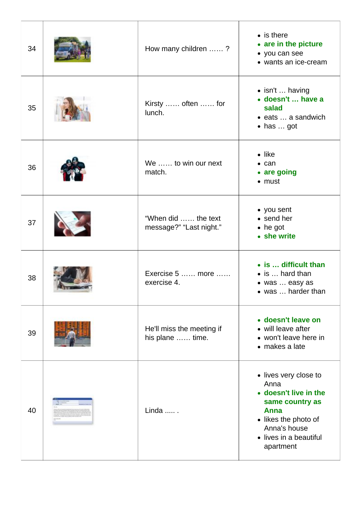| 34 | How many children ?                            | $\bullet$ is there<br>• are in the picture<br>• you can see<br>• wants an ice-cream                                                                              |
|----|------------------------------------------------|------------------------------------------------------------------------------------------------------------------------------------------------------------------|
| 35 | Kirsty  often  for<br>lunch.                   | • isn't  having<br>• doesn't  have a<br>salad<br>• eats  a sandwich<br>$\bullet$ has  got                                                                        |
| 36 | We  to win our next<br>match.                  | $\bullet$ like<br>$\bullet$ can<br>• are going<br>$\bullet$ must                                                                                                 |
| 37 | "When did  the text<br>message?" "Last night." | • you sent<br>• send her<br>$\bullet$ he got<br>• she write                                                                                                      |
| 38 | Exercise 5  more<br>exercise 4.                | • is  difficult than<br>• is  hard than<br>• was  easy as<br>• was  harder than                                                                                  |
| 39 | He'll miss the meeting if<br>his plane  time.  | · doesn't leave on<br>• will leave after<br>• won't leave here in<br>• makes a late                                                                              |
| 40 | Linda  .                                       | • lives very close to<br>Anna<br>• doesn't live in the<br>same country as<br>Anna<br>• likes the photo of<br>Anna's house<br>• lives in a beautiful<br>apartment |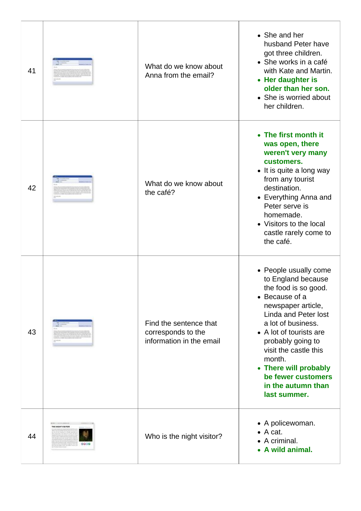| 41 |                   | What do we know about<br>Anna from the email?                            | • She and her<br>husband Peter have<br>got three children.<br>• She works in a café<br>with Kate and Martin.<br>• Her daughter is<br>older than her son.<br>• She is worried about<br>her children.                                                                                                                                      |
|----|-------------------|--------------------------------------------------------------------------|------------------------------------------------------------------------------------------------------------------------------------------------------------------------------------------------------------------------------------------------------------------------------------------------------------------------------------------|
| 42 |                   | What do we know about<br>the café?                                       | • The first month it<br>was open, there<br>weren't very many<br>customers.<br>• It is quite a long way<br>from any tourist<br>destination.<br>• Everything Anna and<br>Peter serve is<br>homemade.<br>• Visitors to the local<br>castle rarely come to<br>the café.                                                                      |
| 43 |                   | Find the sentence that<br>corresponds to the<br>information in the email | • People usually come<br>to England because<br>the food is so good.<br>• Because of a<br>newspaper article,<br><b>Linda and Peter lost</b><br>a lot of business.<br>• A lot of tourists are<br>probably going to<br>visit the castle this<br>month.<br>• There will probably<br>be fewer customers<br>in the autumn than<br>last summer. |
| 44 | THE HIGHT VISINGS | Who is the night visitor?                                                | • A policewoman.<br>$\bullet$ A cat.<br>• A criminal.<br>A wild animal.                                                                                                                                                                                                                                                                  |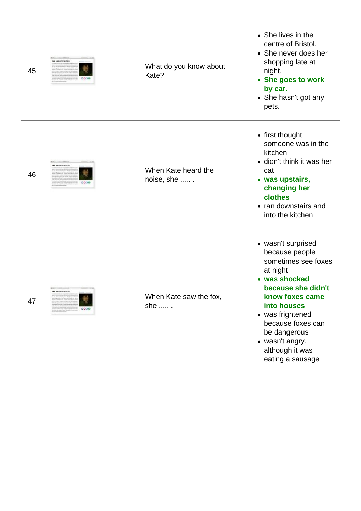| 45 | DOMESTIC AND COMPANY OF<br>THE HIGHT VISITOR    | What do you know about<br>Kate?   | • She lives in the<br>centre of Bristol.<br>• She never does her<br>shopping late at<br>night.<br>• She goes to work<br>by car.<br>• She hasn't got any<br>pets.                                                                                                    |
|----|-------------------------------------------------|-----------------------------------|---------------------------------------------------------------------------------------------------------------------------------------------------------------------------------------------------------------------------------------------------------------------|
| 46 | <b>ROBERT STATEMENTS</b><br>THE HIGHT VISITOR   | When Kate heard the<br>noise, she | • first thought<br>someone was in the<br>kitchen<br>• didn't think it was her<br>cat<br>• was upstairs,<br>changing her<br>clothes<br>• ran downstairs and<br>into the kitchen                                                                                      |
| 47 | DOMESTIC STATE COMPOSITION<br>THE HIGHT VISITOR | When Kate saw the fox,<br>she  .  | • wasn't surprised<br>because people<br>sometimes see foxes<br>at night<br>• was shocked<br>because she didn't<br>know foxes came<br>into houses<br>• was frightened<br>because foxes can<br>be dangerous<br>• wasn't angry,<br>although it was<br>eating a sausage |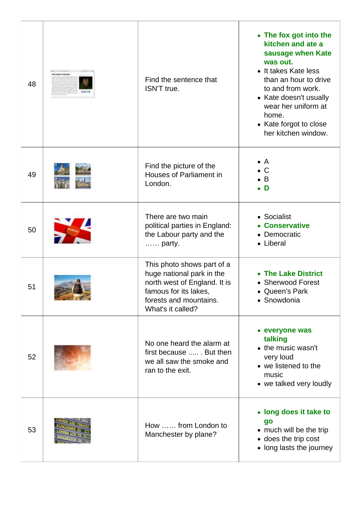| 48 | <b>NE MONT VISITOR</b> | Find the sentence that<br>ISN'T true.                                                                                                                           | • The fox got into the<br>kitchen and ate a<br>sausage when Kate<br>was out.<br>• It takes Kate less<br>than an hour to drive<br>to and from work.<br>• Kate doesn't usually<br>wear her uniform at<br>home.<br>• Kate forgot to close<br>her kitchen window. |
|----|------------------------|-----------------------------------------------------------------------------------------------------------------------------------------------------------------|---------------------------------------------------------------------------------------------------------------------------------------------------------------------------------------------------------------------------------------------------------------|
| 49 |                        | Find the picture of the<br>Houses of Parliament in<br>London.                                                                                                   | A<br>$\mathsf{C}$<br>B<br>D                                                                                                                                                                                                                                   |
| 50 |                        | There are two main<br>political parties in England:<br>the Labour party and the<br>party.                                                                       | • Socialist<br><b>Conservative</b><br>Democratic<br>• Liberal                                                                                                                                                                                                 |
| 51 |                        | This photo shows part of a<br>huge national park in the<br>north west of England. It is<br>famous for its lakes,<br>forests and mountains.<br>What's it called? | <b>The Lake District</b><br>• Sherwood Forest<br>• Queen's Park<br>• Snowdonia                                                                                                                                                                                |
| 52 |                        | No one heard the alarm at<br>first because  . But then<br>we all saw the smoke and<br>ran to the exit.                                                          | • everyone was<br>talking<br>• the music wasn't<br>very loud<br>• we listened to the<br>music<br>• we talked very loudly                                                                                                                                      |
| 53 |                        | How  from London to<br>Manchester by plane?                                                                                                                     | • long does it take to<br>go<br>• much will be the trip<br>• does the trip cost<br>• long lasts the journey                                                                                                                                                   |